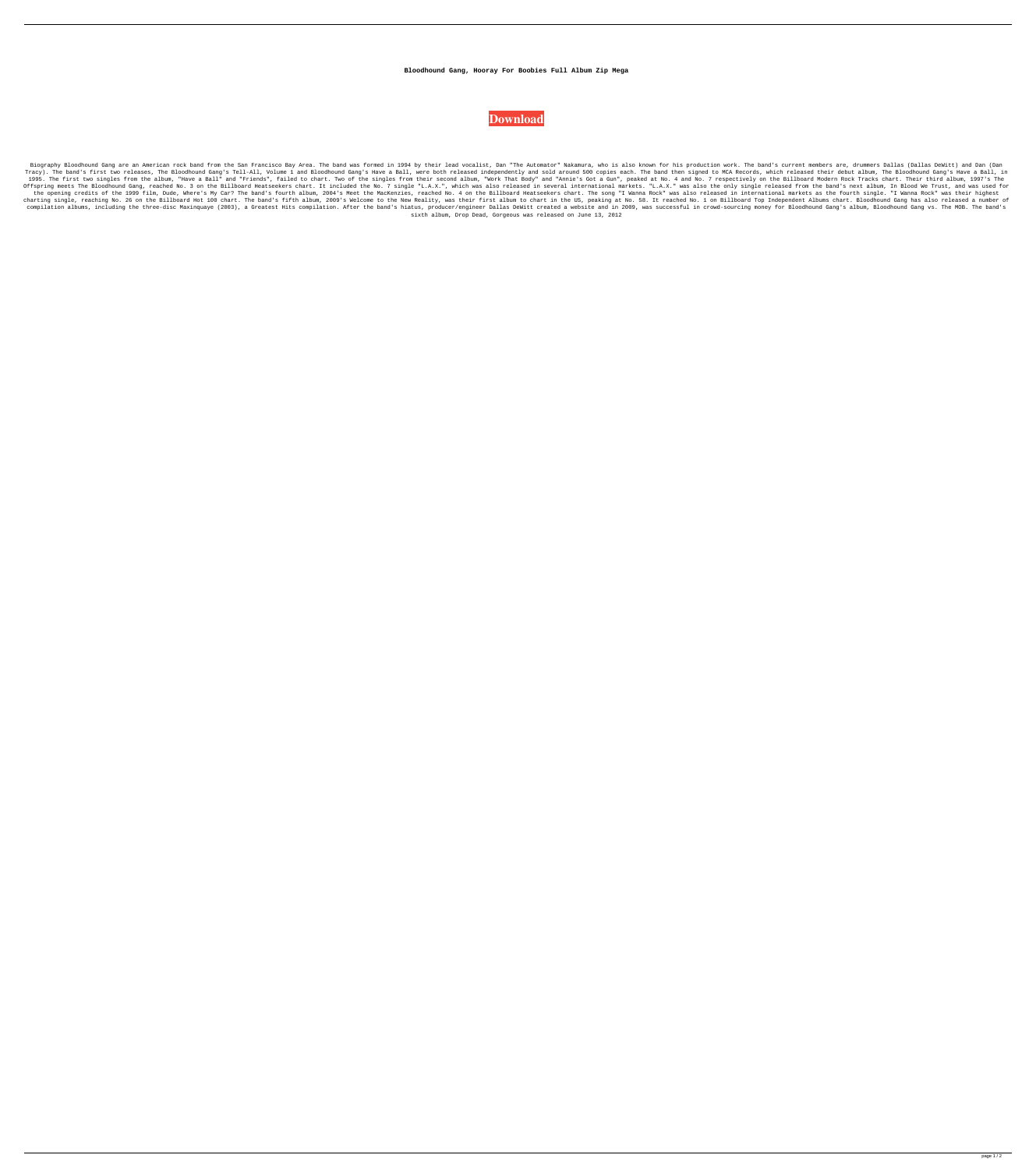## **Bloodhound Gang, Hooray For Boobies Full Album Zip Mega**



Biography Bloodhound Gang are an American rock band from the San Francisco Bay Area. The band was formed in 1994 by their lead vocalist, Dan "The Automator" Nakamura, who is also known for his production work. The band's c Tracy). The band's first two releases, The Bloodhound Gang's Tell-All, Volume 1 and Bloodhound Gang's Have a Ball, were both released independently and sold around 500 copies each. The band then signed to MCA Records, whic 1995. The first two singles from the album, "Have a Ball" and "Friends", failed to chart. Two of the singles from their second album, "Work That Body" and "Annie's Got a Gun", peaked at No. 4 and No. 7 respectively on the Offspring meets The Bloodhound Gang, reached No. 3 on the Billboard Heatseekers chart. It included the No. 7 single "L.A.X.", which was also released in several international markets. "L.A.X." was also the only single rele the opening credits of the 1999 film, Dude, Where's My Car? The band's fourth album, 2004's Meet the MacKenzies, reached No. 4 on the Billboard Heatseekers chart. The song "I Wanna Rock" was also released in international charting single, reaching No. 26 on the Billboard Hot 100 chart. The band's fifth album, 2009's Welcome to the New Reality, was their first album to chart in the US, peaking at No. 58. It reached No. 1 on Billboard Top Ind compilation albums, including the three-disc Maxinquaye (2003), a Greatest Hits compilation. After the band's hiatus, producer/engineer Dallas DeWitt created a website and in 2009, was successful in crowd-sourcing money fo sixth album, Drop Dead, Gorgeous was released on June 13, 2012